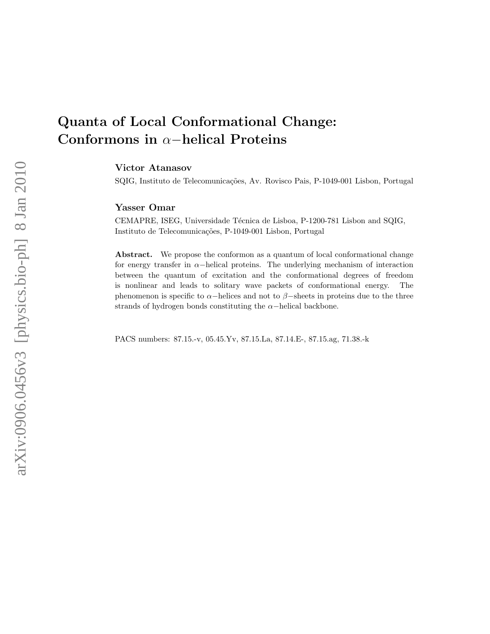# Quanta of Local Conformational Change: Conformons in α−helical Proteins

Victor Atanasov

SQIG, Instituto de Telecomunicações, Av. Rovisco Pais, P-1049-001 Lisbon, Portugal

# Yasser Omar

CEMAPRE, ISEG, Universidade Técnica de Lisboa, P-1200-781 Lisbon and SQIG, Instituto de Telecomunicações, P-1049-001 Lisbon, Portugal

Abstract. We propose the conformon as a quantum of local conformational change for energy transfer in  $\alpha$ -helical proteins. The underlying mechanism of interaction between the quantum of excitation and the conformational degrees of freedom is nonlinear and leads to solitary wave packets of conformational energy. The phenomenon is specific to  $\alpha$ −helices and not to  $\beta$ −sheets in proteins due to the three strands of hydrogen bonds constituting the  $\alpha$ -helical backbone.

PACS numbers: 87.15.-v, 05.45.Yv, 87.15.La, 87.14.E-, 87.15.ag, 71.38.-k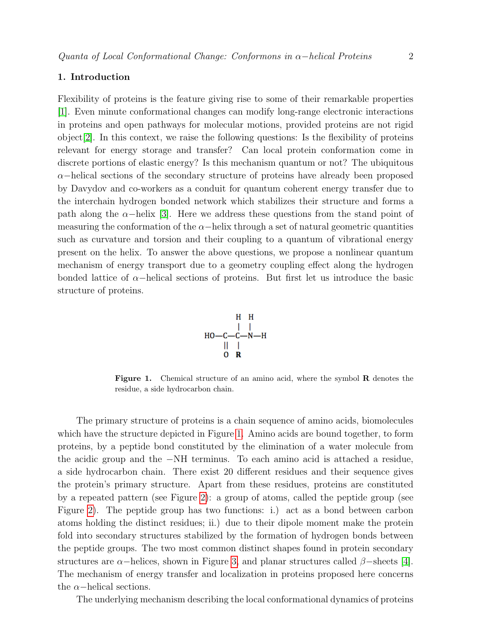## 1. Introduction

Flexibility of proteins is the feature giving rise to some of their remarkable properties [\[1\]](#page-11-0). Even minute conformational changes can modify long-range electronic interactions in proteins and open pathways for molecular motions, provided proteins are not rigid  $\alpha$  object [\[2\]](#page-11-1). In this context, we raise the following questions: Is the flexibility of proteins relevant for energy storage and transfer? Can local protein conformation come in discrete portions of elastic energy? Is this mechanism quantum or not? The ubiquitous  $\alpha$ −helical sections of the secondary structure of proteins have already been proposed by Davydov and co-workers as a conduit for quantum coherent energy transfer due to the interchain hydrogen bonded network which stabilizes their structure and forms a path along the  $\alpha$ −helix [\[3\]](#page-11-2). Here we address these questions from the stand point of measuring the conformation of the  $\alpha$ -helix through a set of natural geometric quantities such as curvature and torsion and their coupling to a quantum of vibrational energy present on the helix. To answer the above questions, we propose a nonlinear quantum mechanism of energy transport due to a geometry coupling effect along the hydrogen bonded lattice of  $\alpha$ −helical sections of proteins. But first let us introduce the basic structure of proteins.



<span id="page-1-0"></span>Figure 1. Chemical structure of an amino acid, where the symbol R denotes the residue, a side hydrocarbon chain.

The primary structure of proteins is a chain sequence of amino acids, biomolecules which have the structure depicted in Figure [1.](#page-1-0) Amino acids are bound together, to form proteins, by a peptide bond constituted by the elimination of a water molecule from the acidic group and the −NH terminus. To each amino acid is attached a residue, a side hydrocarbon chain. There exist 20 different residues and their sequence gives the protein's primary structure. Apart from these residues, proteins are constituted by a repeated pattern (see Figure [2\)](#page-2-0): a group of atoms, called the peptide group (see Figure [2\)](#page-2-0). The peptide group has two functions: i.) act as a bond between carbon atoms holding the distinct residues; ii.) due to their dipole moment make the protein fold into secondary structures stabilized by the formation of hydrogen bonds between the peptide groups. The two most common distinct shapes found in protein secondary structures are  $\alpha$ −helices, shown in Figure [3,](#page-3-0) and planar structures called  $\beta$ −sheets [\[4\]](#page-11-3). The mechanism of energy transfer and localization in proteins proposed here concerns the  $\alpha$ -helical sections.

The underlying mechanism describing the local conformational dynamics of proteins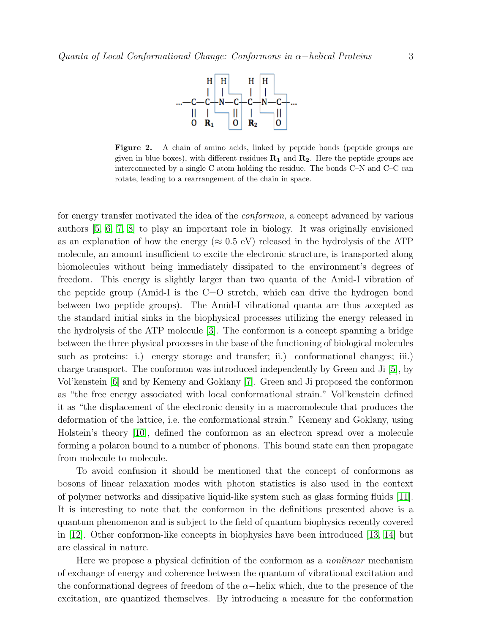

<span id="page-2-0"></span>Figure 2. A chain of amino acids, linked by peptide bonds (peptide groups are given in blue boxes), with different residues  $\mathbf{R}_1$  and  $\mathbf{R}_2$ . Here the peptide groups are interconnected by a single C atom holding the residue. The bonds C–N and C–C can rotate, leading to a rearrangement of the chain in space.

for energy transfer motivated the idea of the *conformon*, a concept advanced by various authors [\[5,](#page-11-4) [6,](#page-11-5) [7,](#page-11-6) [8\]](#page-11-7) to play an important role in biology. It was originally envisioned as an explanation of how the energy ( $\approx 0.5$  eV) released in the hydrolysis of the ATP molecule, an amount insufficient to excite the electronic structure, is transported along biomolecules without being immediately dissipated to the environment's degrees of freedom. This energy is slightly larger than two quanta of the Amid-I vibration of the peptide group (Amid-I is the  $C=O$  stretch, which can drive the hydrogen bond between two peptide groups). The Amid-I vibrational quanta are thus accepted as the standard initial sinks in the biophysical processes utilizing the energy released in the hydrolysis of the ATP molecule [\[3\]](#page-11-2). The conformon is a concept spanning a bridge between the three physical processes in the base of the functioning of biological molecules such as proteins: i.) energy storage and transfer; ii.) conformational changes; iii.) charge transport. The conformon was introduced independently by Green and Ji [\[5\]](#page-11-4), by Vol'kenstein [\[6\]](#page-11-5) and by Kemeny and Goklany [\[7\]](#page-11-6). Green and Ji proposed the conformon as "the free energy associated with local conformational strain." Vol'kenstein defined it as "the displacement of the electronic density in a macromolecule that produces the deformation of the lattice, i.e. the conformational strain." Kemeny and Goklany, using Holstein's theory [\[10\]](#page-11-8), defined the conformon as an electron spread over a molecule forming a polaron bound to a number of phonons. This bound state can then propagate from molecule to molecule.

To avoid confusion it should be mentioned that the concept of conformons as bosons of linear relaxation modes with photon statistics is also used in the context of polymer networks and dissipative liquid-like system such as glass forming fluids [\[11\]](#page-11-9). It is interesting to note that the conformon in the definitions presented above is a quantum phenomenon and is subject to the field of quantum biophysics recently covered in [\[12\]](#page-12-0). Other conformon-like concepts in biophysics have been introduced [\[13,](#page-12-1) [14\]](#page-12-2) but are classical in nature.

Here we propose a physical definition of the conformon as a *nonlinear* mechanism of exchange of energy and coherence between the quantum of vibrational excitation and the conformational degrees of freedom of the  $\alpha$ -helix which, due to the presence of the excitation, are quantized themselves. By introducing a measure for the conformation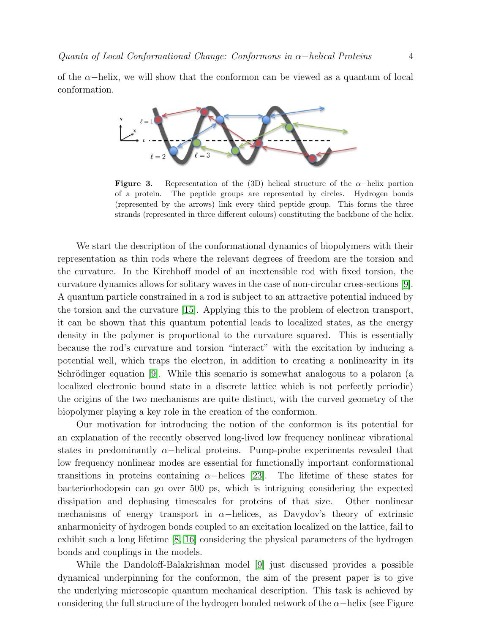of the  $\alpha$ -helix, we will show that the conformon can be viewed as a quantum of local conformation.



<span id="page-3-0"></span>**Figure 3.** Representation of the (3D) helical structure of the  $\alpha$ -helix portion of a protein. The peptide groups are represented by circles. Hydrogen bonds (represented by the arrows) link every third peptide group. This forms the three strands (represented in three different colours) constituting the backbone of the helix.

We start the description of the conformational dynamics of biopolymers with their representation as thin rods where the relevant degrees of freedom are the torsion and the curvature. In the Kirchhoff model of an inextensible rod with fixed torsion, the curvature dynamics allows for solitary waves in the case of non-circular cross-sections [\[9\]](#page-11-10). A quantum particle constrained in a rod is subject to an attractive potential induced by the torsion and the curvature [\[15\]](#page-12-3). Applying this to the problem of electron transport, it can be shown that this quantum potential leads to localized states, as the energy density in the polymer is proportional to the curvature squared. This is essentially because the rod's curvature and torsion "interact" with the excitation by inducing a potential well, which traps the electron, in addition to creating a nonlinearity in its Schrödinger equation [\[9\]](#page-11-10). While this scenario is somewhat analogous to a polaron (a localized electronic bound state in a discrete lattice which is not perfectly periodic) the origins of the two mechanisms are quite distinct, with the curved geometry of the biopolymer playing a key role in the creation of the conformon.

Our motivation for introducing the notion of the conformon is its potential for an explanation of the recently observed long-lived low frequency nonlinear vibrational states in predominantly  $\alpha$ -helical proteins. Pump-probe experiments revealed that low frequency nonlinear modes are essential for functionally important conformational transitions in proteins containing  $\alpha$ −helices [\[23\]](#page-12-4). The lifetime of these states for bacteriorhodopsin can go over 500 ps, which is intriguing considering the expected dissipation and dephasing timescales for proteins of that size. Other nonlinear mechanisms of energy transport in  $\alpha$ -helices, as Davydov's theory of extrinsic anharmonicity of hydrogen bonds coupled to an excitation localized on the lattice, fail to exhibit such a long lifetime [\[8,](#page-11-7) [16\]](#page-12-5) considering the physical parameters of the hydrogen bonds and couplings in the models.

While the Dandoloff-Balakrishnan model [\[9\]](#page-11-10) just discussed provides a possible dynamical underpinning for the conformon, the aim of the present paper is to give the underlying microscopic quantum mechanical description. This task is achieved by considering the full structure of the hydrogen bonded network of the  $\alpha$ −helix (see Figure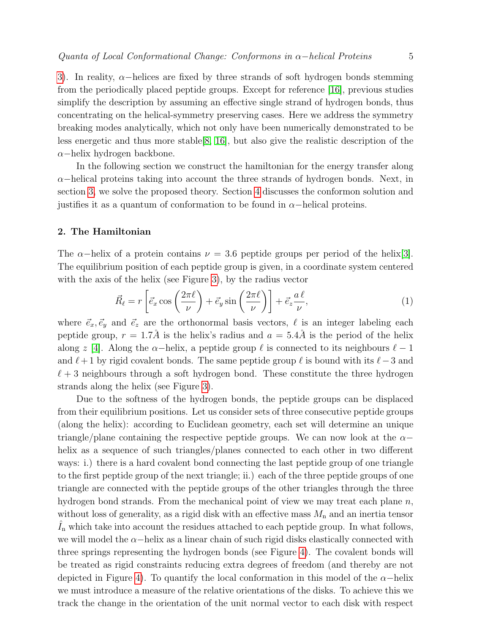[3\)](#page-3-0). In reality,  $\alpha$ -helices are fixed by three strands of soft hydrogen bonds stemming from the periodically placed peptide groups. Except for reference [\[16\]](#page-12-5), previous studies simplify the description by assuming an effective single strand of hydrogen bonds, thus concentrating on the helical-symmetry preserving cases. Here we address the symmetry breaking modes analytically, which not only have been numerically demonstrated to be less energetic and thus more stable[\[8,](#page-11-7) [16\]](#page-12-5), but also give the realistic description of the α−helix hydrogen backbone.

In the following section we construct the hamiltonian for the energy transfer along  $\alpha$ –helical proteins taking into account the three strands of hydrogen bonds. Next, in section [3,](#page-8-0) we solve the proposed theory. Section [4](#page-10-0) discusses the conformon solution and justifies it as a quantum of conformation to be found in  $\alpha$ -helical proteins.

### 2. The Hamiltonian

The  $\alpha$ −helix of a protein contains  $\nu = 3.6$  peptide groups per period of the helix[\[3\]](#page-11-2). The equilibrium position of each peptide group is given, in a coordinate system centered with the axis of the helix (see Figure [3\)](#page-3-0), by the radius vector

$$
\vec{R}_{\ell} = r \left[ \vec{e}_x \cos \left( \frac{2\pi \ell}{\nu} \right) + \vec{e}_y \sin \left( \frac{2\pi \ell}{\nu} \right) \right] + \vec{e}_z \frac{a \ell}{\nu},\tag{1}
$$

where  $\vec{e}_x, \vec{e}_y$  and  $\vec{e}_z$  are the orthonormal basis vectors,  $\ell$  is an integer labeling each peptide group,  $r = 1.7\AA$  is the helix's radius and  $a = 5.4\AA$  is the period of the helix along z [\[4\]](#page-11-3). Along the  $\alpha$ -helix, a peptide group  $\ell$  is connected to its neighbours  $\ell - 1$ and  $\ell + 1$  by rigid covalent bonds. The same peptide group  $\ell$  is bound with its  $\ell - 3$  and  $\ell + 3$  neighbours through a soft hydrogen bond. These constitute the three hydrogen strands along the helix (see Figure [3\)](#page-3-0).

Due to the softness of the hydrogen bonds, the peptide groups can be displaced from their equilibrium positions. Let us consider sets of three consecutive peptide groups (along the helix): according to Euclidean geometry, each set will determine an unique triangle/plane containing the respective peptide groups. We can now look at the  $\alpha$ helix as a sequence of such triangles/planes connected to each other in two different ways: i.) there is a hard covalent bond connecting the last peptide group of one triangle to the first peptide group of the next triangle; ii.) each of the three peptide groups of one triangle are connected with the peptide groups of the other triangles through the three hydrogen bond strands. From the mechanical point of view we may treat each plane  $n$ , without loss of generality, as a rigid disk with an effective mass  $M_n$  and an inertia tensor  $I_n$  which take into account the residues attached to each peptide group. In what follows, we will model the  $\alpha$ −helix as a linear chain of such rigid disks elastically connected with three springs representing the hydrogen bonds (see Figure [4\)](#page-5-0). The covalent bonds will be treated as rigid constraints reducing extra degrees of freedom (and thereby are not depicted in Figure [4\)](#page-5-0). To quantify the local conformation in this model of the  $\alpha$ -helix we must introduce a measure of the relative orientations of the disks. To achieve this we track the change in the orientation of the unit normal vector to each disk with respect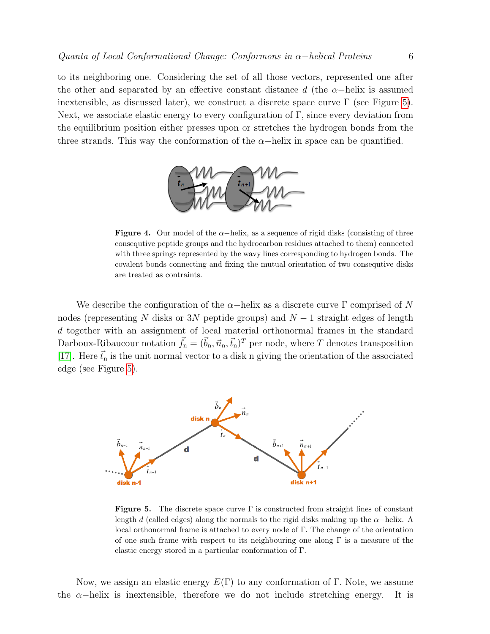to its neighboring one. Considering the set of all those vectors, represented one after the other and separated by an effective constant distance d (the  $\alpha$ -helix is assumed inextensible, as discussed later), we construct a discrete space curve  $\Gamma$  (see Figure [5\)](#page-5-1). Next, we associate elastic energy to every configuration of  $\Gamma$ , since every deviation from the equilibrium position either presses upon or stretches the hydrogen bonds from the three strands. This way the conformation of the  $\alpha$ -helix in space can be quantified.

<span id="page-5-0"></span>

Figure 4. Our model of the  $\alpha$ -helix, as a sequence of rigid disks (consisting of three consequtive peptide groups and the hydrocarbon residues attached to them) connected with three springs represented by the wavy lines corresponding to hydrogen bonds. The covalent bonds connecting and fixing the mutual orientation of two consequtive disks are treated as contraints.

We describe the configuration of the  $\alpha$ -helix as a discrete curve  $\Gamma$  comprised of N nodes (representing N disks or 3N peptide groups) and  $N-1$  straight edges of length d together with an assignment of local material orthonormal frames in the standard Darboux-Ribaucour notation  $\vec{f}_n = (\vec{b}_n, \vec{n}_n, \vec{t}_n)^T$  per node, where T denotes transposition [\[17\]](#page-12-6). Here  $\vec{t}_n$  is the unit normal vector to a disk n giving the orientation of the associated edge (see Figure [5\)](#page-5-1).



<span id="page-5-1"></span>**Figure 5.** The discrete space curve  $\Gamma$  is constructed from straight lines of constant length d (called edges) along the normals to the rigid disks making up the  $\alpha$ −helix. A local orthonormal frame is attached to every node of Γ. The change of the orientation of one such frame with respect to its neighbouring one along  $\Gamma$  is a measure of the elastic energy stored in a particular conformation of Γ.

Now, we assign an elastic energy  $E(\Gamma)$  to any conformation of  $\Gamma$ . Note, we assume the  $\alpha$ -helix is inextensible, therefore we do not include stretching energy. It is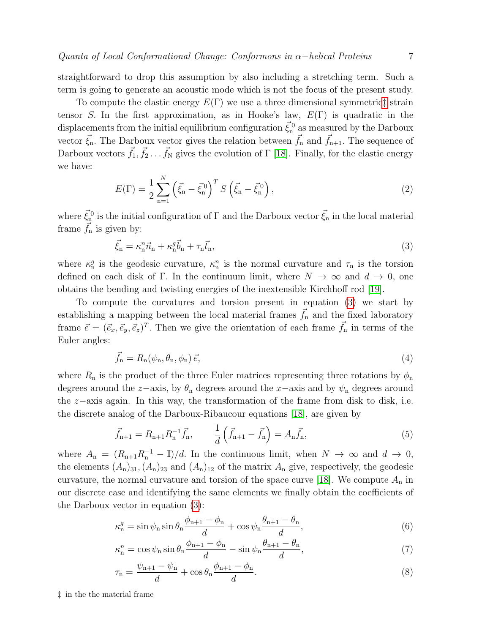straightforward to drop this assumption by also including a stretching term. Such a term is going to generate an acoustic mode which is not the focus of the present study.

To compute the elastic energy  $E(\Gamma)$  we use a three dimensional symmetrict strain tensor S. In the first approximation, as in Hooke's law,  $E(\Gamma)$  is quadratic in the displacements from the initial equilibrium configuration  $\vec{\xi}^0_n$  as measured by the Darboux vector  $\vec{\xi}_n$ . The Darboux vector gives the relation between  $\vec{f}_n$  and  $\vec{f}_{n+1}$ . The sequence of Darboux vectors  $\vec{f}_1, \vec{f}_2 \ldots \vec{f}_N$  gives the evolution of  $\Gamma$  [\[18\]](#page-12-7). Finally, for the elastic energy we have:

<span id="page-6-2"></span>
$$
E(\Gamma) = \frac{1}{2} \sum_{n=1}^{N} \left( \vec{\xi}_n - \vec{\xi}_n^0 \right)^T S \left( \vec{\xi}_n - \vec{\xi}_n^0 \right), \tag{2}
$$

where  $\vec{\xi}_n^0$  is the initial configuration of  $\Gamma$  and the Darboux vector  $\vec{\xi}_n$  in the local material frame  $f_n$  is given by:

<span id="page-6-1"></span>
$$
\vec{\xi}_{\mathbf{n}} = \kappa_{\mathbf{n}}^n \vec{n}_{\mathbf{n}} + \kappa_{\mathbf{n}}^g \vec{b}_{\mathbf{n}} + \tau_{\mathbf{n}} \vec{t}_{\mathbf{n}},\tag{3}
$$

where  $\kappa_n^g$  is the geodesic curvature,  $\kappa_n^n$  is the normal curvature and  $\tau_n$  is the torsion defined on each disk of Γ. In the continuum limit, where  $N \to \infty$  and  $d \to 0$ , one obtains the bending and twisting energies of the inextensible Kirchhoff rod [\[19\]](#page-12-8).

To compute the curvatures and torsion present in equation [\(3\)](#page-6-1) we start by establishing a mapping between the local material frames  $\vec{f}_n$  and the fixed laboratory frame  $\vec{e} = (\vec{e}_x, \vec{e}_y, \vec{e}_z)^T$ . Then we give the orientation of each frame  $\vec{f}_n$  in terms of the Euler angles:

$$
\vec{f}_{\mathbf{n}} = R_{\mathbf{n}}(\psi_{\mathbf{n}}, \theta_{\mathbf{n}}, \phi_{\mathbf{n}}) \, \vec{e},\tag{4}
$$

where  $R_n$  is the product of the three Euler matrices representing three rotations by  $\phi_n$ degrees around the z–axis, by  $\theta_n$  degrees around the x–axis and by  $\psi_n$  degrees around the z−axis again. In this way, the transformation of the frame from disk to disk, i.e. the discrete analog of the Darboux-Ribaucour equations [\[18\]](#page-12-7), are given by

$$
\vec{f}_{n+1} = R_{n+1} R_n^{-1} \vec{f}_n, \qquad \frac{1}{d} \left( \vec{f}_{n+1} - \vec{f}_n \right) = A_n \vec{f}_n, \tag{5}
$$

where  $A_n = (R_{n+1}R_n^{-1} - \mathbb{I})/d$ . In the continuous limit, when  $N \to \infty$  and  $d \to 0$ , the elements  $(A_n)_{31}$ ,  $(A_n)_{23}$  and  $(A_n)_{12}$  of the matrix  $A_n$  give, respectively, the geodesic curvature, the normal curvature and torsion of the space curve [\[18\]](#page-12-7). We compute  $A_n$  in our discrete case and identifying the same elements we finally obtain the coefficients of the Darboux vector in equation [\(3\)](#page-6-1):

$$
\kappa_n^g = \sin \psi_n \sin \theta_n \frac{\phi_{n+1} - \phi_n}{d} + \cos \psi_n \frac{\theta_{n+1} - \theta_n}{d},\tag{6}
$$

<span id="page-6-3"></span>
$$
\kappa_n^n = \cos \psi_n \sin \theta_n \frac{\phi_{n+1} - \phi_n}{d} - \sin \psi_n \frac{\theta_{n+1} - \theta_n}{d},\tag{7}
$$

$$
\tau_{\mathbf{n}} = \frac{\psi_{\mathbf{n}+1} - \psi_{\mathbf{n}}}{d} + \cos \theta_{\mathbf{n}} \frac{\phi_{\mathbf{n}+1} - \phi_{\mathbf{n}}}{d}.
$$
\n(8)

<span id="page-6-0"></span>‡ in the the material frame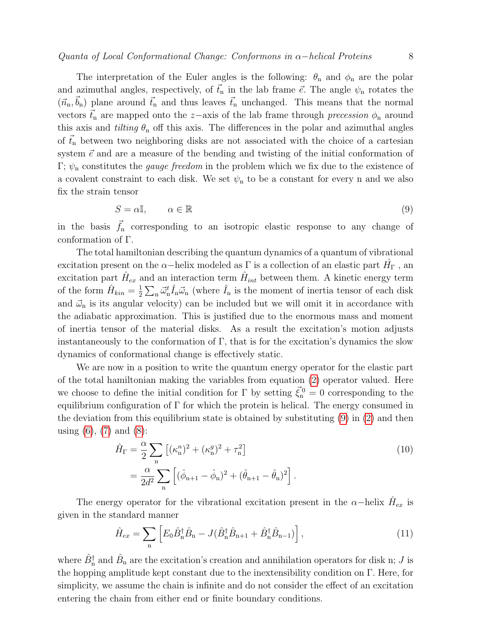The interpretation of the Euler angles is the following:  $\theta_n$  and  $\phi_n$  are the polar and azimuthal angles, respectively, of  $\vec{t}_n$  in the lab frame  $\vec{e}$ . The angle  $\psi_n$  rotates the  $(\vec{n}_n, \vec{b}_n)$  plane around  $\vec{t}_n$  and thus leaves  $\vec{t}_n$  unchanged. This means that the normal vectors  $\vec{t}_n$  are mapped onto the z-axis of the lab frame through precession  $\phi_n$  around this axis and *tilting*  $\theta_n$  off this axis. The differences in the polar and azimuthal angles of  $\vec{t}_n$  between two neighboring disks are not associated with the choice of a cartesian system  $\vec{e}$  and are a measure of the bending and twisting of the initial conformation of Γ;  $\psi_n$  constitutes the *gauge freedom* in the problem which we fix due to the existence of a covalent constraint to each disk. We set  $\psi_n$  to be a constant for every n and we also fix the strain tensor

<span id="page-7-0"></span>
$$
S = \alpha \mathbb{I}, \qquad \alpha \in \mathbb{R} \tag{9}
$$

in the basis  $\vec{f}_n$  corresponding to an isotropic elastic response to any change of conformation of Γ.

The total hamiltonian describing the quantum dynamics of a quantum of vibrational excitation present on the  $\alpha$ –helix modeled as  $\Gamma$  is a collection of an elastic part  $\hat{H}_{\Gamma}$ , an excitation part  $\hat{H}_{ex}$  and an interaction term  $\hat{H}_{int}$  between them. A kinetic energy term of the form  $\hat{H}_{kin} = \frac{1}{2}$  $\frac{1}{2}\sum_{n}\vec{\omega}_{n}^{t}\hat{I}_{n}\vec{\omega}_{n}$  (where  $\hat{I}_{n}$  is the moment of inertia tensor of each disk and  $\vec{\omega}_n$  is its angular velocity) can be included but we will omit it in accordance with the adiabatic approximation. This is justified due to the enormous mass and moment of inertia tensor of the material disks. As a result the excitation's motion adjusts instantaneously to the conformation of  $\Gamma$ , that is for the excitation's dynamics the slow dynamics of conformational change is effectively static.

We are now in a position to write the quantum energy operator for the elastic part of the total hamiltonian making the variables from equation [\(2\)](#page-6-2) operator valued. Here we choose to define the initial condition for  $\Gamma$  by setting  $\vec{\xi}_n^0 = 0$  corresponding to the equilibrium configuration of  $\Gamma$  for which the protein is helical. The energy consumed in the deviation from this equilibrium state is obtained by substituting [\(9\)](#page-7-0) in [\(2\)](#page-6-2) and then using  $(6)$ ,  $(7)$  and  $(8)$ :

<span id="page-7-1"></span>
$$
\hat{H}_{\Gamma} = \frac{\alpha}{2} \sum_{n} \left[ (\kappa_n^2)^2 + (\kappa_n^g)^2 + \tau_n^2 \right] \n= \frac{\alpha}{2d^2} \sum_{n} \left[ (\hat{\phi}_{n+1} - \hat{\phi}_n)^2 + (\hat{\theta}_{n+1} - \hat{\theta}_n)^2 \right].
$$
\n(10)

The energy operator for the vibrational excitation present in the  $\alpha$ -helix  $\hat{H}_{ex}$  is given in the standard manner

<span id="page-7-2"></span>
$$
\hat{H}_{ex} = \sum_{\mathbf{n}} \left[ E_0 \hat{B}_{\mathbf{n}}^\dagger \hat{B}_{\mathbf{n}} - J(\hat{B}_{\mathbf{n}}^\dagger \hat{B}_{\mathbf{n}+1} + \hat{B}_{\mathbf{n}}^\dagger \hat{B}_{\mathbf{n}-1}) \right],\tag{11}
$$

where  $\hat{B}_{\rm n}^{\dagger}$  and  $\hat{B}_{\rm n}$  are the excitation's creation and annihilation operators for disk n; J is the hopping amplitude kept constant due to the inextensibility condition on Γ. Here, for simplicity, we assume the chain is infinite and do not consider the effect of an excitation entering the chain from either end or finite boundary conditions.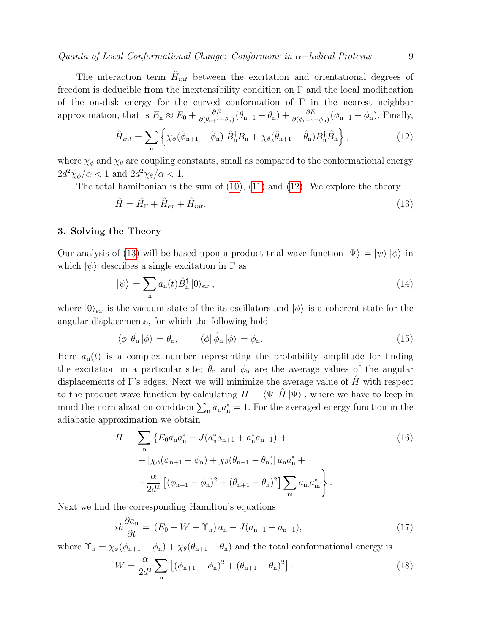$Quanta$  of Local Conformational Change: Conformons in  $\alpha$ −helical Proteins 9

The interaction term  $\hat{H}_{int}$  between the excitation and orientational degrees of freedom is deducible from the inextensibility condition on  $\Gamma$  and the local modification of the on-disk energy for the curved conformation of  $\Gamma$  in the nearest neighbor approximation, that is  $E_n \approx E_0 + \frac{\partial E}{\partial (\theta_{n+1})}$  $\frac{\partial E}{\partial(\theta_{n+1}-\theta_n)}(\theta_{n+1}-\theta_n)+\frac{\partial E}{\partial(\phi_{n+1}-\phi_n)}(\phi_{n+1}-\phi_n)$ . Finally,

<span id="page-8-1"></span>
$$
\hat{H}_{int} = \sum_{\mathbf{n}} \left\{ \chi_{\phi}(\hat{\phi}_{\mathbf{n}+1} - \hat{\phi}_{\mathbf{n}}) \hat{B}_{\mathbf{n}}^{\dagger} \hat{B}_{\mathbf{n}} + \chi_{\theta}(\hat{\theta}_{\mathbf{n}+1} - \hat{\theta}_{\mathbf{n}}) \hat{B}_{\mathbf{n}}^{\dagger} \hat{B}_{\mathbf{n}} \right\},\tag{12}
$$

where  $\chi_{\phi}$  and  $\chi_{\theta}$  are coupling constants, small as compared to the conformational energy  $2d^2\chi_{\phi}/\alpha < 1$  and  $2d^2\chi_{\theta}/\alpha < 1$ .

The total hamiltonian is the sum of  $(10)$ ,  $(11)$  and  $(12)$ . We explore the theory

<span id="page-8-2"></span>
$$
\hat{H} = \hat{H}_{\Gamma} + \hat{H}_{ex} + \hat{H}_{int}.
$$
\n(13)

## <span id="page-8-0"></span>3. Solving the Theory

Our analysis of [\(13\)](#page-8-2) will be based upon a product trial wave function  $|\Psi\rangle = |\psi\rangle |\phi\rangle$  in which  $|\psi\rangle$  describes a single excitation in  $\Gamma$  as

<span id="page-8-3"></span>
$$
|\psi\rangle = \sum_{n} a_{n}(t)\hat{B}_{n}^{\dagger} |0\rangle_{ex}, \qquad (14)
$$

where  $|0\rangle_{ex}$  is the vacuum state of the its oscillators and  $|\phi\rangle$  is a coherent state for the angular displacements, for which the following hold

$$
\langle \phi | \hat{\theta}_{n} | \phi \rangle = \theta_{n}, \qquad \langle \phi | \hat{\phi}_{n} | \phi \rangle = \phi_{n}. \qquad (15)
$$

Here  $a_n(t)$  is a complex number representing the probability amplitude for finding the excitation in a particular site;  $\theta_n$  and  $\phi_n$  are the average values of the angular displacements of Γ's edges. Next we will minimize the average value of  $H$  with respect to the product wave function by calculating  $H = \langle \Psi | \hat{H} | \Psi \rangle$ , where we have to keep in mind the normalization condition  $\sum_{n} a_n a_n^* = 1$ . For the averaged energy function in the adiabatic approximation we obtain

$$
H = \sum_{n} \left\{ E_0 a_n a_n^* - J(a_n^* a_{n+1} + a_n^* a_{n-1}) + \right.
$$
  
+  $\left[ \chi_{\phi}(\phi_{n+1} - \phi_n) + \chi_{\theta}(\theta_{n+1} - \theta_n) \right] a_n a_n^* + \right.$   
+  $\frac{\alpha}{2d^2} \left[ (\phi_{n+1} - \phi_n)^2 + (\theta_{n+1} - \theta_n)^2 \right] \sum_m a_m a_m^* \right\}.$  (16)

Next we find the corresponding Hamilton's equations

$$
i\hbar \frac{\partial a_n}{\partial t} = (E_0 + W + \Upsilon_n) a_n - J(a_{n+1} + a_{n-1}),
$$
\n(17)

where  $\Upsilon_n = \chi_{\phi}(\phi_{n+1} - \phi_n) + \chi_{\theta}(\theta_{n+1} - \theta_n)$  and the total conformational energy is

$$
W = \frac{\alpha}{2d^2} \sum_{n} \left[ (\phi_{n+1} - \phi_n)^2 + (\theta_{n+1} - \theta_n)^2 \right].
$$
 (18)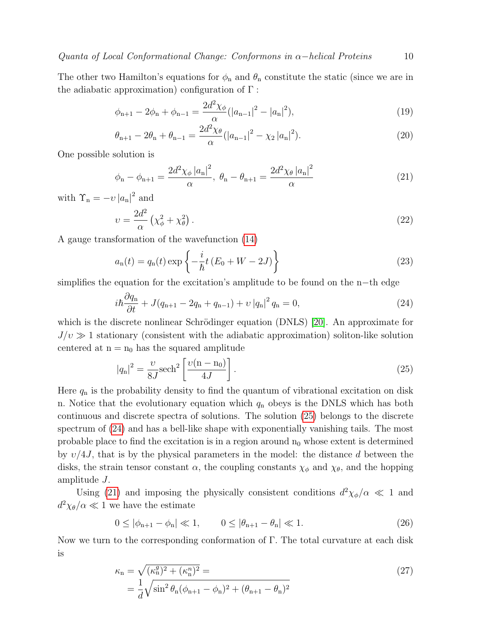The other two Hamilton's equations for  $\phi_n$  and  $\theta_n$  constitute the static (since we are in the adiabatic approximation) configuration of  $\Gamma$ :

$$
\phi_{n+1} - 2\phi_n + \phi_{n-1} = \frac{2d^2\chi_\phi}{\alpha} (|a_{n-1}|^2 - |a_n|^2),\tag{19}
$$

$$
\theta_{n+1} - 2\theta_n + \theta_{n-1} = \frac{2d^2\chi_\theta}{\alpha} (|a_{n-1}|^2 - \chi_2 |a_n|^2).
$$
 (20)

One possible solution is

<span id="page-9-2"></span>
$$
\phi_{n} - \phi_{n+1} = \frac{2d^2\chi_{\phi} |a_{n}|^2}{\alpha}, \ \theta_{n} - \theta_{n+1} = \frac{2d^2\chi_{\theta} |a_{n}|^2}{\alpha} \tag{21}
$$

with  $\Upsilon_n = -\nu |a_n|^2$  and

$$
v = \frac{2d^2}{\alpha} \left( \chi_{\phi}^2 + \chi_{\theta}^2 \right). \tag{22}
$$

A gauge transformation of the wavefunction [\(14\)](#page-8-3)

$$
a_{n}(t) = q_{n}(t) \exp\left\{-\frac{i}{\hbar}t\left(E_{0} + W - 2J\right)\right\}
$$
\n(23)

simplifies the equation for the excitation's amplitude to be found on the n−th edge

<span id="page-9-1"></span>
$$
i\hbar \frac{\partial q_{\rm n}}{\partial t} + J(q_{\rm n+1} - 2q_{\rm n} + q_{\rm n-1}) + \nu |q_{\rm n}|^2 q_{\rm n} = 0, \tag{24}
$$

which is the discrete nonlinear Schrödinger equation (DNLS) [\[20\]](#page-12-9). An approximate for  $J/\nu \gg 1$  stationary (consistent with the adiabatic approximation) soliton-like solution centered at  $n = n_0$  has the squared amplitude

<span id="page-9-0"></span>
$$
|q_n|^2 = \frac{\upsilon}{8J} \text{sech}^2 \left[ \frac{\upsilon(n - n_0)}{4J} \right]. \tag{25}
$$

Here  $q_n$  is the probability density to find the quantum of vibrational excitation on disk n. Notice that the evolutionary equation which  $q_n$  obeys is the DNLS which has both continuous and discrete spectra of solutions. The solution [\(25\)](#page-9-0) belongs to the discrete spectrum of [\(24\)](#page-9-1) and has a bell-like shape with exponentially vanishing tails. The most probable place to find the excitation is in a region around  $n_0$  whose extent is determined by  $v/4J$ , that is by the physical parameters in the model: the distance d between the disks, the strain tensor constant  $\alpha$ , the coupling constants  $\chi_{\phi}$  and  $\chi_{\theta}$ , and the hopping amplitude J.

Using [\(21\)](#page-9-2) and imposing the physically consistent conditions  $d^2\chi_{\phi}/\alpha \ll 1$  and  $d^2\chi_{\theta}/\alpha \ll 1$  we have the estimate

<span id="page-9-3"></span>
$$
0 \le |\phi_{n+1} - \phi_n| \ll 1, \qquad 0 \le |\theta_{n+1} - \theta_n| \ll 1. \tag{26}
$$

Now we turn to the corresponding conformation of Γ. The total curvature at each disk is

$$
\kappa_{\rm n} = \sqrt{(\kappa_{\rm n}^g)^2 + (\kappa_{\rm n}^n)^2} =
$$
\n
$$
= \frac{1}{d} \sqrt{\sin^2 \theta_{\rm n} (\phi_{\rm n+1} - \phi_{\rm n})^2 + (\theta_{\rm n+1} - \theta_{\rm n})^2}
$$
\n(27)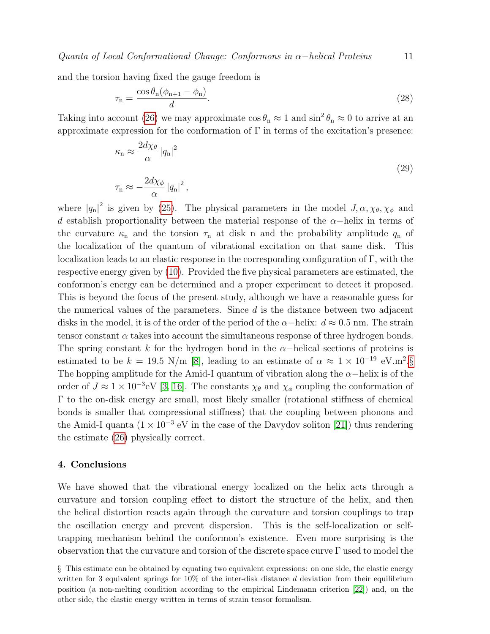Quanta of Local Conformational Change: Conformons in  $\alpha$ −helical Proteins 11

and the torsion having fixed the gauge freedom is

$$
\tau_{\mathbf{n}} = \frac{\cos \theta_{\mathbf{n}} (\phi_{\mathbf{n}+1} - \phi_{\mathbf{n}})}{d}.
$$
\n(28)

Taking into account [\(26\)](#page-9-3) we may approximate  $\cos \theta_n \approx 1$  and  $\sin^2 \theta_n \approx 0$  to arrive at an approximate expression for the conformation of  $\Gamma$  in terms of the excitation's presence:

<span id="page-10-2"></span>
$$
\kappa_{\rm n} \approx \frac{2d\chi_{\theta}}{\alpha} |q_{\rm n}|^2
$$
  

$$
\tau_{\rm n} \approx -\frac{2d\chi_{\phi}}{\alpha} |q_{\rm n}|^2,
$$
 (29)

where  $|q_{n}|^{2}$  is given by [\(25\)](#page-9-0). The physical parameters in the model  $J, \alpha, \chi_{\theta}, \chi_{\phi}$  and d establish proportionality between the material response of the  $\alpha$ -helix in terms of the curvature  $\kappa_n$  and the torsion  $\tau_n$  at disk n and the probability amplitude  $q_n$  of the localization of the quantum of vibrational excitation on that same disk. This localization leads to an elastic response in the corresponding configuration of Γ, with the respective energy given by [\(10\)](#page-7-1). Provided the five physical parameters are estimated, the conformon's energy can be determined and a proper experiment to detect it proposed. This is beyond the focus of the present study, although we have a reasonable guess for the numerical values of the parameters. Since  $d$  is the distance between two adjacent disks in the model, it is of the order of the period of the  $\alpha$ -helix:  $d \approx 0.5$  nm. The strain tensor constant  $\alpha$  takes into account the simultaneous response of three hydrogen bonds. The spring constant k for the hydrogen bond in the  $\alpha$ -helical sections of proteins is estimated to be  $k = 19.5$  N/m [\[8\]](#page-11-7), leading to an estimate of  $\alpha \approx 1 \times 10^{-19}$  eV.m<sup>2</sup>.[§](#page-10-1) The hopping amplitude for the Amid-I quantum of vibration along the  $\alpha$ −helix is of the order of  $J \approx 1 \times 10^{-3}$ eV [\[3,](#page-11-2) [16\]](#page-12-5). The constants  $\chi_{\theta}$  and  $\chi_{\phi}$  coupling the conformation of Γ to the on-disk energy are small, most likely smaller (rotational stiffness of chemical bonds is smaller that compressional stiffness) that the coupling between phonons and the Amid-I quanta  $(1 \times 10^{-3} \text{ eV}$  in the case of the Davydov soliton [\[21\]](#page-12-10)) thus rendering the estimate [\(26\)](#page-9-3) physically correct.

#### <span id="page-10-0"></span>4. Conclusions

We have showed that the vibrational energy localized on the helix acts through a curvature and torsion coupling effect to distort the structure of the helix, and then the helical distortion reacts again through the curvature and torsion couplings to trap the oscillation energy and prevent dispersion. This is the self-localization or selftrapping mechanism behind the conformon's existence. Even more surprising is the observation that the curvature and torsion of the discrete space curve Γ used to model the

<span id="page-10-1"></span>§ This estimate can be obtained by equating two equivalent expressions: on one side, the elastic energy written for 3 equivalent springs for  $10\%$  of the inter-disk distance d deviation from their equilibrium position (a non-melting condition according to the empirical Lindemann criterion [\[22\]](#page-12-11)) and, on the other side, the elastic energy written in terms of strain tensor formalism.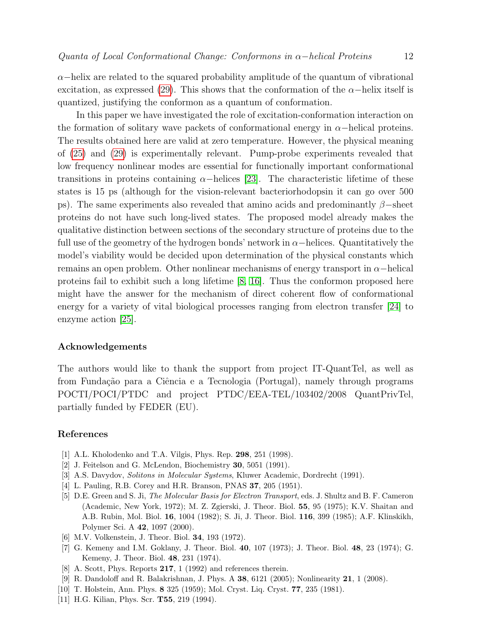$\alpha$ –helix are related to the squared probability amplitude of the quantum of vibrational excitation, as expressed [\(29\)](#page-10-2). This shows that the conformation of the  $\alpha$ -helix itself is quantized, justifying the conformon as a quantum of conformation.

In this paper we have investigated the role of excitation-conformation interaction on the formation of solitary wave packets of conformational energy in  $\alpha$ −helical proteins. The results obtained here are valid at zero temperature. However, the physical meaning of [\(25\)](#page-9-0) and [\(29\)](#page-10-2) is experimentally relevant. Pump-probe experiments revealed that low frequency nonlinear modes are essential for functionally important conformational transitions in proteins containing  $\alpha$ -helices [\[23\]](#page-12-4). The characteristic lifetime of these states is 15 ps (although for the vision-relevant bacteriorhodopsin it can go over 500 ps). The same experiments also revealed that amino acids and predominantly  $\beta$ –sheet proteins do not have such long-lived states. The proposed model already makes the qualitative distinction between sections of the secondary structure of proteins due to the full use of the geometry of the hydrogen bonds' network in  $\alpha$ –helices. Quantitatively the model's viability would be decided upon determination of the physical constants which remains an open problem. Other nonlinear mechanisms of energy transport in  $\alpha$ -helical proteins fail to exhibit such a long lifetime [\[8,](#page-11-7) [16\]](#page-12-5). Thus the conformon proposed here might have the answer for the mechanism of direct coherent flow of conformational energy for a variety of vital biological processes ranging from electron transfer [\[24\]](#page-12-12) to enzyme action [\[25\]](#page-12-13).

#### Acknowledgements

The authors would like to thank the support from project IT-QuantTel, as well as from Fundação para a Ciência e a Tecnologia (Portugal), namely through programs POCTI/POCI/PTDC and project PTDC/EEA-TEL/103402/2008 QuantPrivTel, partially funded by FEDER (EU).

# References

- <span id="page-11-0"></span>[1] A.L. Kholodenko and T.A. Vilgis, Phys. Rep. 298, 251 (1998).
- <span id="page-11-1"></span>[2] J. Feitelson and G. McLendon, Biochemistry 30, 5051 (1991).
- <span id="page-11-2"></span>[3] A.S. Davydov, Solitons in Molecular Systems, Kluwer Academic, Dordrecht (1991).
- <span id="page-11-3"></span>[4] L. Pauling, R.B. Corey and H.R. Branson, PNAS 37, 205 (1951).
- <span id="page-11-4"></span>[5] D.E. Green and S. Ji, The Molecular Basis for Electron Transport, eds. J. Shultz and B. F. Cameron (Academic, New York, 1972); M. Z. Zgierski, J. Theor. Biol. 55, 95 (1975); K.V. Shaitan and A.B. Rubin, Mol. Biol. 16, 1004 (1982); S. Ji, J. Theor. Biol. 116, 399 (1985); A.F. Klinskikh, Polymer Sci. A 42, 1097 (2000).
- <span id="page-11-5"></span>[6] M.V. Volkenstein, J. Theor. Biol. 34, 193 (1972).
- <span id="page-11-6"></span>[7] G. Kemeny and I.M. Goklany, J. Theor. Biol. 40, 107 (1973); J. Theor. Biol. 48, 23 (1974); G. Kemeny, J. Theor. Biol. 48, 231 (1974).
- <span id="page-11-7"></span>[8] A. Scott, Phys. Reports 217, 1 (1992) and references therein.
- <span id="page-11-10"></span>[9] R. Dandoloff and R. Balakrishnan, J. Phys. A 38, 6121 (2005); Nonlinearity 21, 1 (2008).
- <span id="page-11-8"></span>[10] T. Holstein, Ann. Phys. 8 325 (1959); Mol. Cryst. Liq. Cryst. 77, 235 (1981).
- <span id="page-11-9"></span>[11] H.G. Kilian, Phys. Scr. **T55**, 219 (1994).